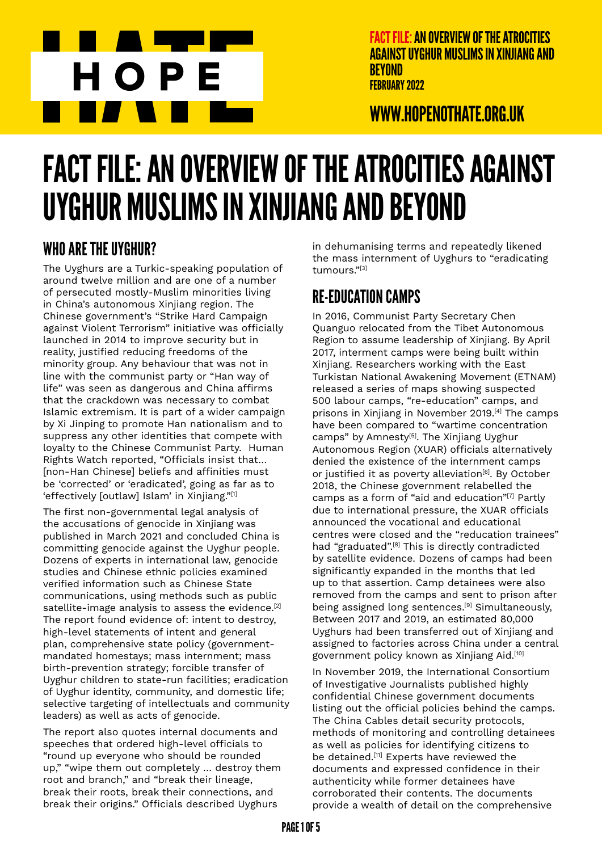

WWW.HOPENOTHATE.ORG.UK

# FACT FILE: AN OVERVIEW OF THE ATROCITIES AGAINST UYGHUR MUSLIMS IN XINJIANG AND BEYOND

## WHO ARE THE UYGHUR?

The Uyghurs are a Turkic-speaking population of around twelve million and are one of a number of persecuted mostly-Muslim minorities living in China's autonomous Xinjiang region. The Chinese government's "Strike Hard Campaign against Violent Terrorism" initiative was officially launched in 2014 to improve security but in reality, justified reducing freedoms of the minority group. Any behaviour that was not in line with the communist party or "Han way of life" was seen as dangerous and China affirms that the crackdown was necessary to combat Islamic extremism. It is part of a wider campaign by Xi Jinping to promote Han nationalism and to suppress any other identities that compete with loyalty to the Chinese Communist Party. Human Rights Watch reported, "Officials insist that… [non-Han Chinese] beliefs and affinities must be 'corrected' or 'eradicated', going as far as to 'effectively [outlaw] Islam' in Xinjiang."[1]

The first non-governmental legal analysis of the accusations of genocide in Xinjiang was published in March 2021 and concluded China is committing genocide against the Uyghur people. Dozens of experts in international law, genocide studies and Chinese ethnic policies examined verified information such as Chinese State communications, using methods such as public satellite-image analysis to assess the evidence.<sup>[2]</sup> The report found evidence of: intent to destroy, high-level statements of intent and general plan, comprehensive state policy (governmentmandated homestays; mass internment; mass birth-prevention strategy; forcible transfer of Uyghur children to state-run facilities; eradication of Uyghur identity, community, and domestic life; selective targeting of intellectuals and community leaders) as well as acts of genocide.

The report also quotes internal documents and speeches that ordered high-level officials to "round up everyone who should be rounded up," "wipe them out completely … destroy them root and branch," and "break their lineage, break their roots, break their connections, and break their origins." Officials described Uyghurs

in dehumanising terms and repeatedly likened the mass internment of Uyghurs to "eradicating tumours."[3]

# RE-EDUCATION CAMPS

In 2016, Communist Party Secretary Chen Quanguo relocated from the Tibet Autonomous Region to assume leadership of Xinjiang. By April 2017, interment camps were being built within Xinjiang. Researchers working with the East Turkistan National Awakening Movement (ETNAM) released a series of maps showing suspected 500 labour camps, "re-education" camps, and prisons in Xinjiang in November 2019.<sup>[4]</sup> The camps have been compared to "wartime concentration camps" by Amnesty<sup>[5]</sup>. The Xinjiang Uyghur Autonomous Region (XUAR) officials alternatively denied the existence of the internment camps or justified it as poverty alleviation<sup>[6]</sup>. By October 2018, the Chinese government relabelled the camps as a form of "aid and education"[7] Partly due to international pressure, the XUAR officials announced the vocational and educational centres were closed and the "reducation trainees" had "graduated".<sup>[8]</sup> This is directly contradicted by satellite evidence. Dozens of camps had been significantly expanded in the months that led up to that assertion. Camp detainees were also removed from the camps and sent to prison after being assigned long sentences.<sup>[9]</sup> Simultaneously, Between 2017 and 2019, an estimated 80,000 Uyghurs had been transferred out of Xinjiang and assigned to factories across China under a central government policy known as Xinjiang Aid.[10]

In November 2019, the International Consortium of Investigative Journalists published highly confidential Chinese government documents listing out the official policies behind the camps. The China Cables detail security protocols, methods of monitoring and controlling detainees as well as policies for identifying citizens to be detained.<sup>[11]</sup> Experts have reviewed the documents and expressed confidence in their authenticity while former detainees have corroborated their contents. The documents provide a wealth of detail on the comprehensive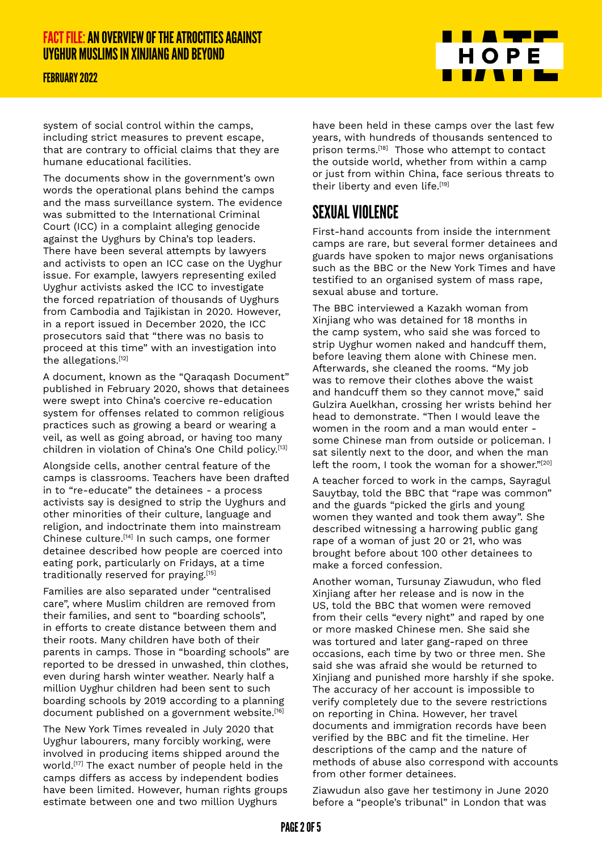#### FEBRUARY 2022



system of social control within the camps, including strict measures to prevent escape, that are contrary to official claims that they are humane educational facilities.

The documents show in the government's own words the operational plans behind the camps and the mass surveillance system. The evidence was submitted to the International Criminal Court (ICC) in a complaint alleging genocide against the Uyghurs by China's top leaders. There have been several attempts by lawyers and activists to open an ICC case on the Uyghur issue. For example, lawyers representing exiled Uyghur activists asked the ICC to investigate the forced repatriation of thousands of Uyghurs from Cambodia and Tajikistan in 2020. However, in a report issued in December 2020, the ICC prosecutors said that "there was no basis to proceed at this time" with an investigation into the allegations.<sup>[12]</sup>

A document, known as the "Qaraqash Document" published in February 2020, shows that detainees were swept into China's coercive re-education system for offenses related to common religious practices such as growing a beard or wearing a veil, as well as going abroad, or having too many children in violation of China's One Child policy.[13]

Alongside cells, another central feature of the camps is classrooms. Teachers have been drafted in to "re-educate" the detainees - a process activists say is designed to strip the Uyghurs and other minorities of their culture, language and religion, and indoctrinate them into mainstream Chinese culture.[14] In such camps, one former detainee described how people are coerced into eating pork, particularly on Fridays, at a time traditionally reserved for praying.[15]

Families are also separated under "centralised care", where Muslim children are removed from their families, and sent to "boarding schools", in efforts to create distance between them and their roots. Many children have both of their parents in camps. Those in "boarding schools" are reported to be dressed in unwashed, thin clothes, even during harsh winter weather. Nearly half a million Uyghur children had been sent to such boarding schools by 2019 according to a planning document published on a government website.[16]

The New York Times revealed in July 2020 that Uyghur labourers, many forcibly working, were involved in producing items shipped around the world.[17] The exact number of people held in the camps differs as access by independent bodies have been limited. However, human rights groups estimate between one and two million Uyghurs

have been held in these camps over the last few years, with hundreds of thousands sentenced to *p*<br>prison terms.<sup>[18]</sup> Those who attempt to contact the outside world, whether from within a camp or just from within China, face serious threats to their liberty and even life.<sup>[19]</sup>

## SEXUAL VIOLENCE

First-hand accounts from inside the internment camps are rare, but several former detainees and guards have spoken to major news organisations such as the BBC or the New York Times and have testified to an organised system of mass rape, sexual abuse and torture.

The BBC interviewed a Kazakh woman from Xinjiang who was detained for 18 months in the camp system, who said she was forced to strip Uyghur women naked and handcuff them, before leaving them alone with Chinese men. Afterwards, she cleaned the rooms. "My job was to remove their clothes above the waist and handcuff them so they cannot move," said Gulzira Auelkhan, crossing her wrists behind her head to demonstrate. "Then I would leave the women in the room and a man would enter some Chinese man from outside or policeman. I sat silently next to the door, and when the man left the room, I took the woman for a shower."[20]

A teacher forced to work in the camps, Sayragul Sauytbay, told the BBC that "rape was common" and the guards "picked the girls and young women they wanted and took them away". She described witnessing a harrowing public gang rape of a woman of just 20 or 21, who was brought before about 100 other detainees to make a forced confession.

Another woman, Tursunay Ziawudun, who fled Xinjiang after her release and is now in the US, told the BBC that women were removed from their cells "every night" and raped by one or more masked Chinese men. She said she was tortured and later gang-raped on three occasions, each time by two or three men. She said she was afraid she would be returned to Xinjiang and punished more harshly if she spoke. The accuracy of her account is impossible to verify completely due to the severe restrictions on reporting in China. However, her travel documents and immigration records have been verified by the BBC and fit the timeline. Her descriptions of the camp and the nature of methods of abuse also correspond with accounts from other former detainees.

Ziawudun also gave her testimony in June 2020 before a "people's tribunal" in London that was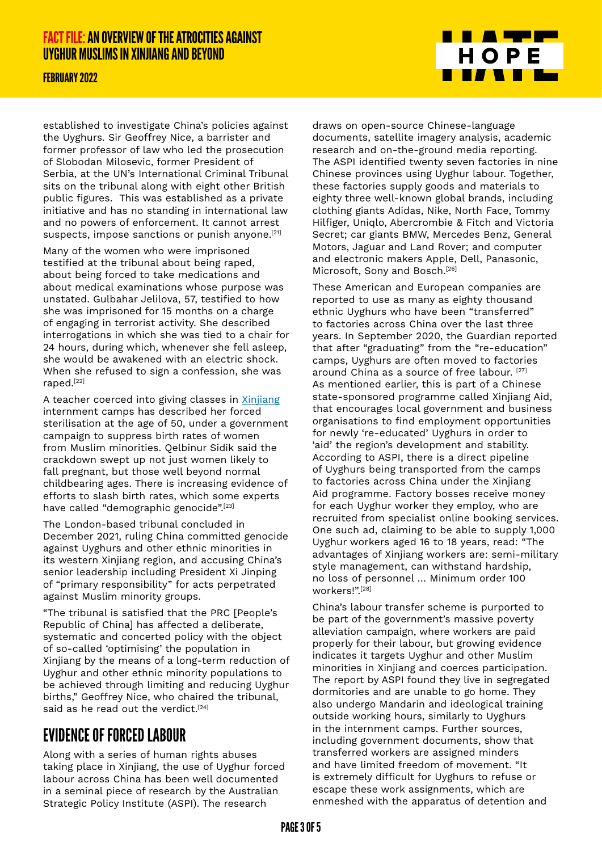#### FEBRUARY 2022

established to investigate China's policies against the Uyghurs. Sir Geoffrey Nice, a barrister and former professor of law who led the prosecution of Slobodan Milosevic, former President of Serbia, at the UN's International Criminal Tribunal sits on the tribunal along with eight other British public figures. This was established as a private initiative and has no standing in international law and no powers of enforcement. It cannot arrest suspects, impose sanctions or punish anyone.[21]

Many of the women who were imprisoned testified at the tribunal about being raped, about being forced to take medications and about medical examinations whose purpose was unstated. Gulbahar Jelilova, 57, testified to how she was imprisoned for 15 months on a charge of engaging in terrorist activity. She described interrogations in which she was tied to a chair for 24 hours, during which, whenever she fell asleep, she would be awakened with an electric shock. When she refused to sign a confession, she was raped.[22]

A teacher coerced into giving classes in [Xinjiang](https://www.theguardian.com/world/xinjiang) internment camps has described her forced sterilisation at the age of 50, under a government campaign to suppress birth rates of women from Muslim minorities. Qelbinur Sidik said the crackdown swept up not just women likely to fall pregnant, but those well beyond normal childbearing ages. There is increasing evidence of efforts to slash birth rates, which some experts have called "demographic genocide".[23]

The London-based tribunal concluded in December 2021, ruling China committed genocide against Uyghurs and other ethnic minorities in its western Xinjiang region, and accusing China's senior leadership including President Xi Jinping of "primary responsibility" for acts perpetrated against Muslim minority groups.

"The tribunal is satisfied that the PRC [People's Republic of China] has affected a deliberate, systematic and concerted policy with the object of so-called 'optimising' the population in Xinjiang by the means of a long-term reduction of Uyghur and other ethnic minority populations to be achieved through limiting and reducing Uyghur births," Geoffrey Nice, who chaired the tribunal, said as he read out the verdict.<sup>[24]</sup>

## EVIDENCE OF FORCED LABOUR

Along with a series of human rights abuses taking place in Xinjiang, the use of Uyghur forced labour across China has been well documented in a seminal piece of research by the Australian Strategic Policy Institute (ASPI). The research

draws on open-source Chinese-language documents, satellite imagery analysis, academic research and on-the-ground media reporting. The ASPI identified twenty seven factories in nine Chinese provinces using Uyghur labour. Together, these factories supply goods and materials to eighty three well-known global brands, including clothing giants Adidas, Nike, North Face, Tommy Hilfiger, Uniqlo, Abercrombie & Fitch and Victoria Secret; car giants BMW, Mercedes Benz, General Motors, Jaguar and Land Rover; and computer and electronic makers Apple, Dell, Panasonic, Microsoft, Sony and Bosch.<sup>[26]</sup>

<u> Timber Ser</u>

**THE TELEVISION** 

HOPE

These American and European companies are reported to use as many as eighty thousand ethnic Uyghurs who have been "transferred" to factories across China over the last three years. In September 2020, the Guardian reported that after "graduating" from the "re-education" camps, Uyghurs are often moved to factories around China as a source of free labour. [\[27\]](https://www.theguardian.com/world/2020/mar/01/china-transferred-detained-uighurs-to-factories-used-by-global-brands-report) As mentioned earlier, this is part of a Chinese state-sponsored programme called Xinjiang Aid, that encourages local government and business organisations to find employment opportunities for newly 're-educated' Uyghurs in order to 'aid' the region's development and stability. According to ASPI, there is a direct pipeline of Uyghurs being transported from the camps to factories across China under the Xinjiang Aid programme. Factory bosses receive money for each Uyghur worker they employ, who are recruited from specialist online booking services. One such ad, claiming to be able to supply 1,000 Uyghur workers aged 16 to 18 years, read: "The advantages of Xinjiang workers are: semi-military style management, can withstand hardship, no loss of personnel … Minimum order 100 workers!".[28]

China's labour transfer scheme is purported to be part of the government's massive poverty alleviation campaign, where workers are paid properly for their labour, but growing evidence indicates it targets Uyghur and other Muslim minorities in Xinjiang and coerces participation. The report by ASPI found they live in segregated dormitories and are unable to go home. They also undergo Mandarin and ideological training outside working hours, similarly to Uyghurs in the internment camps. Further sources, including government documents, show that transferred workers are assigned minders and have limited freedom of movement. "It is extremely difficult for Uyghurs to refuse or escape these work assignments, which are enmeshed with the apparatus of detention and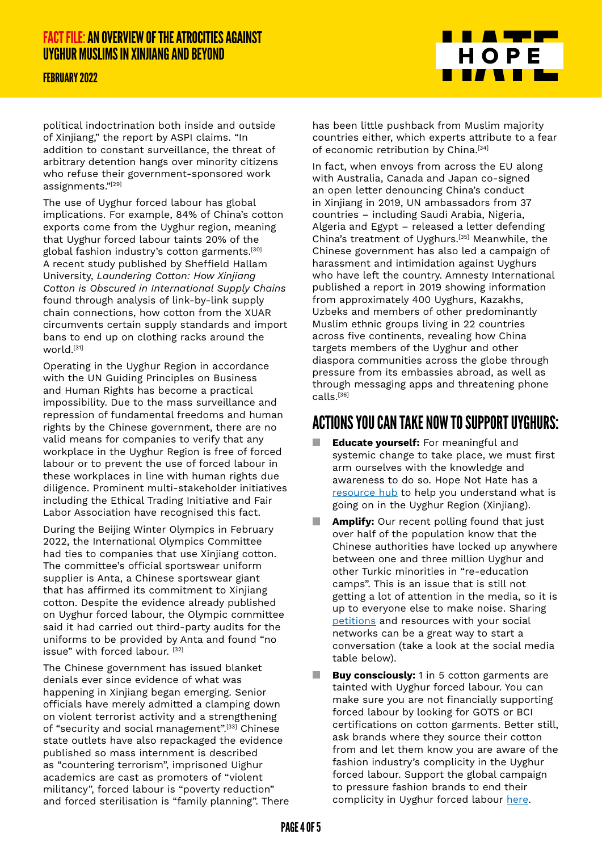#### FEBRUARY 2022

political indoctrination both inside and outside of Xinjiang," the report by ASPI claims. "In addition to constant surveillance, the threat of arbitrary detention hangs over minority citizens who refuse their government-sponsored work assignments."[\[29\]](https://www.aspi.org.au/report/uyghurs-sale)

The use of Uyghur forced labour has global implications. For example, 84% of China's cotton exports come from the Uyghur region, meaning that Uyghur forced labour taints 20% of the global fashion industry's cotton garments[.\[30\]](https://cleanclothes.org/campaigns/end-uyghur-forced-labour) A recent study published by Sheffield Hallam University, *Laundering Cotton: How Xinjiang Cotton is Obscured in International Supply Chains* found through analysis of link-by-link supply chain connections, how cotton from the XUAR circumvents certain supply standards and import bans to end up on clothing racks around the world.[\[31\]](https://www.shu.ac.uk/helena-kennedy-centre-international-justice/research-and-projects/all-projects/laundered-cotton)

Operating in the Uyghur Region in accordance with the UN Guiding Principles on Business and Human Rights has become a practical impossibility. Due to the mass surveillance and repression of fundamental freedoms and human rights by the Chinese government, there are no valid means for companies to verify that any workplace in the Uyghur Region is free of forced labour or to prevent the use of forced labour in these workplaces in line with human rights due diligence. Prominent multi-stakeholder initiatives including the Ethical Trading Initiative and Fair Labor Association have recognised this fact.

During the Beijing Winter Olympics in February 2022, the International Olympics Committee had ties to companies that use Xinijang cotton. The committee's official sportswear uniform supplier is Anta, a Chinese sportswear giant that has affirmed its commitment to Xinjiang cotton. Despite the evidence already published on Uyghur forced labour, the Olympic committee said it had carried out third-party audits for the uniforms to be provided by Anta and found "no issue" with forced labour. [\[32\]](https://www.nytimes.com/2022/01/04/world/asia/ioc-china.html)

The Chinese government has issued blanket denials ever since evidence of what was happening in Xinjiang began emerging. Senior officials have merely admitted a clamping down on violent terrorist activity and a strengthening of "security and social management".[\[33\]](https://www.nytimes.com/2018/08/13/world/asia/china-xinjiang-un.html) Chinese state outlets have also repackaged the evidence published so mass internment is described as "countering terrorism", imprisoned Uighur academics are cast as promoters of "violent militancy", forced labour is "poverty reduction" and forced sterilisation is "family planning". There



has been little pushback from Muslim majority countries either, which experts attribute to a fear of economic retribution by China.<sup>[\[34\]](https://www.france24.com/en/20191127-china-communist-uighurs-xinjiang-muslim-silence-camps-repression)</sup>

In fact, when envoys from across the EU along with Australia, Canada and Japan co-signed an open letter denouncing China's conduct in Xinjiang in 2019, UN ambassadors from 37 countries – including Saudi Arabia, Nigeria, Algeria and Egypt – released a letter defending China's treatment of Uyghurs.[\[35\]](https://www.france24.com/en/20190712-37-countries-defend-china-over-xinjiang-un-letter) Meanwhile, the Chinese government has also led a campaign of harassment and intimidation against Uyghurs who have left the country. Amnesty International published a report in 2019 showing information from approximately 400 Uyghurs, Kazakhs, Uzbeks and members of other predominantly Muslim ethnic groups living in 22 countries across five continents, revealing how China targets members of the Uyghur and other diaspora communities across the globe through pressure from its embassies abroad, as well as through messaging apps and threatening phone calls[.\[36\]](https://www.amnesty.org/en/latest/news/2020/02/china-uyghurs-living-abroad-tell-of-campaign-of-intimidation/)

## ACTIONS YOU CAN TAKE NOW TO SUPPORT UYGHURS:

- **Educate yourself:** For meaningful and systemic change to take place, we must first arm ourselves with the knowledge and awareness to do so. Hope Not Hate has a [resource hub](https://live.hopenothate.89up.org/whats-happening-in-xinxiang/) to help you understand what is going on in the Uyghur Region (Xinjiang).
- **Amplify:** Our recent polling found that just over half of the population know that the Chinese authorities have locked up anywhere between one and three million Uyghur and other Turkic minorities in "re-education camps". This is an issue that is still not getting a lot of attention in the media, so it is up to everyone else to make noise. Sharing [petitions](https://www.freedomunited.org/advocate/free-uyghurs/) and resources with your social networks can be a great way to start a conversation (take a look at the social media table below).
- **Buy consciously:** 1 in 5 cotton garments are tainted with Uyghur forced labour. You can make sure you are not financially supporting forced labour by looking for GOTS or BCI certifications on cotton garments. Better still, ask brands where they source their cotton from and let them know you are aware of the fashion industry's complicity in the Uyghur forced labour. Support the global campaign to pressure fashion brands to end their complicity in Uyghur forced labour [here.](https://enduyghurforcedlabour.org/)